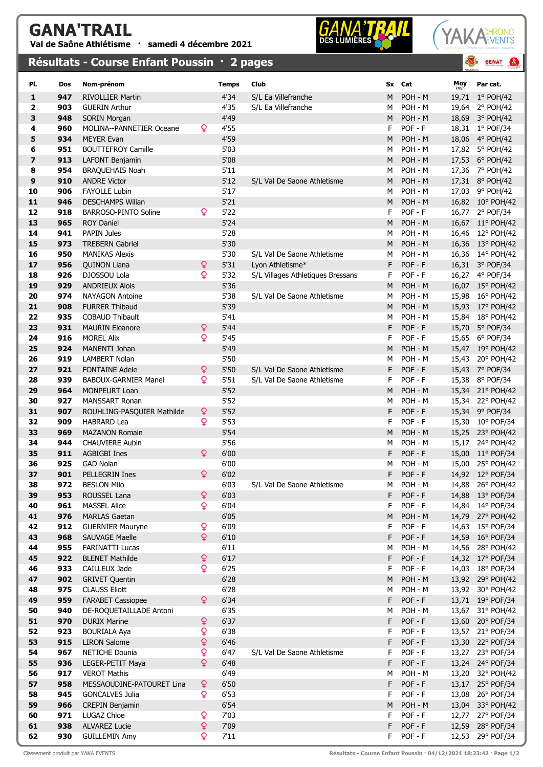## GANA'TRAIL

Val de Saône Athlétisme · samedi 4 décembre 2021

## Résultats - Course Enfant Poussin · 2 pages





 $\bullet$ 

**GENAY** 

| PI.                     | <b>Dos</b> | Nom-prénom                                    |              | <b>Temps</b> | Club                              | Sx     | Cat                | Moy            | Par cat.                             |
|-------------------------|------------|-----------------------------------------------|--------------|--------------|-----------------------------------|--------|--------------------|----------------|--------------------------------------|
| 1                       | 947        | <b>RIVOLLIER Martin</b>                       |              | 4'34         | S/L Ea Villefranche               | M      | POH - M            | 19,71          | $1°$ POH/42                          |
| 2                       | 903        | <b>GUERIN Arthur</b>                          |              | 4'35         | S/L Ea Villefranche               | м      | POH - M            | 19,64          | 2° POH/42                            |
| 3                       | 948        | <b>SORIN Morgan</b>                           |              | 4'49         |                                   | M      | POH - M            | 18,69          | 3° POH/42                            |
| 4                       | 960        | <b>MOLINA--PANNETIER Oceane</b>               | ò            | 4'55         |                                   | F      | POF - F            |                | 18,31 1° POF/34                      |
| 5                       | 934        | <b>MEYER Evan</b>                             |              | 4'59         |                                   | M      | POH - M            | 18,06          | 4° POH/42                            |
| 6                       | 951        | <b>BOUTTEFROY Camille</b>                     |              | 5'03         |                                   | M      | POH - M            | 17,82          | 5° POH/42                            |
| $\overline{\mathbf{z}}$ | 913        | LAFONT Benjamin                               |              | 5'08         |                                   | M      | POH - M            | 17,53          | 6° POH/42                            |
| 8                       | 954        | <b>BRAQUEHAIS Noah</b>                        |              | 5'11         |                                   | М      | POH - M            | 17,36          | 7° POH/42                            |
| 9                       | 910        | <b>ANDRE Victor</b>                           |              | 5'12         | S/L Val De Saone Athletisme       | M      | POH - M            |                | 17,31 8° POH/42                      |
| 10                      | 906        | <b>FAYOLLE Lubin</b>                          |              | 5'17         |                                   | M      | POH - M            | 17,03          | 9° POH/42                            |
| 11                      | 946        | <b>DESCHAMPS Wilian</b>                       |              | 5'21         |                                   | M      | POH - M            |                | 16,82 10° POH/42                     |
| 12                      | 918        | BARROSO-PINTO Soline                          | ò            | 5'22         |                                   | F      | $POF - F$          | 16,77          | 2° POF/34                            |
| 13                      | 965        | <b>ROY Daniel</b>                             |              | 5'24         |                                   | M      | POH - M            |                | 16,67 11° POH/42                     |
| 14                      | 941        | <b>PAPIN Jules</b>                            |              | 5'28         |                                   | M      | POH - M            |                | 16,46 12° POH/42                     |
| 15                      | 973        | <b>TREBERN Gabriel</b>                        |              | 5'30         |                                   | M      | POH - M            |                | 16,36 13° POH/42                     |
| 16                      | 950        | <b>MANIKAS Alexis</b>                         |              | 5'30         | S/L Val De Saone Athletisme       | М      | POH - M            | 16,36          | 14° POH/42                           |
| 17                      | 956        | <b>QUINON Liana</b>                           | Q            | 5'31         | Lvon Athletisme*                  | F      | POF - F            |                | 16,31 3° POF/34                      |
| 18                      | 926        | DJOSSOU Lola                                  | ò            | 5'32         | S/L Villages Athletiques Bressans | F      | POF - F            |                | 16,27 4° POF/34                      |
| 19                      | 929        | <b>ANDRIEUX Alois</b>                         |              | 5'36         |                                   | M      | POH - M            |                | 16,07 15° POH/42                     |
| 20                      | 974        | <b>NAYAGON Antoine</b>                        |              | 5'38         | S/L Val De Saone Athletisme       | M      | POH - M            | 15,98          | 16° POH/42                           |
| 21                      | 908        | <b>FURRER Thibaud</b>                         |              | 5'39         |                                   | M      | POH - M            | 15,93          | 17° POH/42                           |
| 22                      | 935        | <b>COBAUD Thibault</b>                        |              | 5'41         |                                   | М      | POH - M            | 15,84          | 18° POH/42                           |
| 23                      | 931        | <b>MAURIN Eleanore</b>                        | ¥            | 5'44         |                                   | F      | POF - F            | 15,70          | 5° POF/34                            |
| 24<br>25                | 916<br>924 | <b>MOREL Alix</b><br>MANENTI Johan            | Q            | 5'45<br>5'49 |                                   | F      | POF - F<br>POH - M | 15,65          | 6° POF/34                            |
| 26                      | 919        | <b>LAMBERT Nolan</b>                          |              | 5'50         |                                   | M      | POH - M            | 15,47          | 19° POH/42                           |
| 27                      | 921        | <b>FONTAINE Adele</b>                         | ò            | 5'50         | S/L Val De Saone Athletisme       | M<br>F | $POF - F$          | 15,43<br>15,43 | 20° POH/42<br>7° POF/34              |
| 28                      | 939        | <b>BABOUX-GARNIER Manel</b>                   | ò            | 5'51         | S/L Val De Saone Athletisme       | F      | POF - F            | 15,38          | 8° POF/34                            |
| 29                      | 964        | <b>MONPEURT Loan</b>                          |              | 5'52         |                                   | M      | POH - M            |                | 15,34 21° POH/42                     |
| 30                      | 927        | <b>MANSSART Ronan</b>                         |              | 5'52         |                                   | М      | POH - M            | 15,34          | 22° POH/42                           |
| 31                      | 907        | ROUHLING-PASQUIER Mathilde                    | Q            | 5'52         |                                   | F      | POF - F            |                | 15,34 9° POF/34                      |
| 32                      | 909        | <b>HABRARD Lea</b>                            | Q            | 5'53         |                                   | F      | POF - F            | 15,30          | 10° POF/34                           |
| 33                      | 969        | <b>MAZANON Romain</b>                         |              | 5'54         |                                   | M      | POH - M            | 15,25          | 23° POH/42                           |
| 34                      | 944        | <b>CHAUVIERE Aubin</b>                        |              | 5'56         |                                   | м      | POH - M            | 15,17          | 24° POH/42                           |
| 35                      | 911        | <b>AGBIGBI Ines</b>                           | ò            | 6'00         |                                   | F      | POF - F            | 15,00          | 11° POF/34                           |
| 36                      | 925        | <b>GAD Nolan</b>                              |              | 6'00         |                                   | м      | POH - M            | 15,00          | 25° POH/42                           |
| 37                      | 901        | <b>PELLEGRIN Ines</b>                         | Q            | 6'02         |                                   | F      | POF - F            |                | 14,92 12° POF/34                     |
| 38                      | 972        | <b>BESLON Milo</b>                            |              | 6'03         | S/L Val De Saone Athletisme       | M      | POH - M            |                | 14,88 26° POH/42                     |
| 39                      | 953        | ROUSSEL Lana                                  | ò            | 6'03         |                                   | F      | POF - F            | 14,88          | 13° POF/34                           |
| 40                      | 961        | <b>MASSEL Alice</b>                           | ò            | 6'04         |                                   | F      | POF - F            | 14,84          | 14° POF/34                           |
| 41                      | 976        | <b>MARLAS Gaetan</b>                          |              | 6'05         |                                   | M      | POH - M            |                | 14,79 27° POH/42                     |
| 42                      | 912        | <b>GUERNIER Mauryne</b>                       | ò            | 6'09         |                                   | F      | POF - F            | 14,63          | 15° POF/34                           |
| 43                      | 968        | SAUVAGE Maelle                                | $\mathsf{Q}$ | $6'10$       |                                   | F      | POF - F            |                | 14,59 16° POF/34                     |
| 44                      | 955        | <b>FARINATTI Lucas</b>                        |              | 6'11         |                                   | М      | POH - M            | 14,56          | 28° POH/42                           |
| 45                      | 922        | <b>BLENET Mathilde</b>                        | ò            | 6'17         |                                   | F      | POF - F            |                | 14,32 17° POF/34                     |
| 46<br>47                | 933        | CAILLEUX Jade                                 | ò            | 6'25         |                                   | F      | POF - F            | 14,03          | 18° POF/34                           |
| 48                      | 902<br>975 | <b>GRIVET Quentin</b><br><b>CLAUSS Eliott</b> |              | 6'28<br>6'28 |                                   | M<br>М | POH - M<br>POH - M |                | 13,92 29° POH/42<br>13,92 30° POH/42 |
| 49                      | 959        | <b>FARABET Cassiopee</b>                      | ò            | 6'34         |                                   | F      | POF - F            |                | 13,71 19° POF/34                     |
| 50                      | 940        | DE-ROQUETAILLADE Antoni                       |              | 6'35         |                                   | M      | POH - M            |                | 13,67 31° POH/42                     |
| 51                      | 970        | <b>DURIX Marine</b>                           | ¥            | 6'37         |                                   | F      | POF - F            | 13,60          | 20° POF/34                           |
| 52                      | 923        | <b>BOURIALA Aya</b>                           | ò            | 6'38         |                                   | F      | POF - F            |                | 13,57 21° POF/34                     |
| 53                      | 915        | <b>LIRON Salome</b>                           | ò            | 6'46         |                                   | F      | POF - F            |                | 13,30 22° POF/34                     |
| 54                      | 967        | NETICHE Dounia                                | ò            | 6'47         | S/L Val De Saone Athletisme       | F      | POF - F            | 13,27          | 23° POF/34                           |
| 55                      | 936        | LEGER-PETIT Maya                              | ò            | 6'48         |                                   | F      | POF - F            |                | 13,24 24° POF/34                     |
| 56                      | 917        | <b>VEROT Mathis</b>                           |              | 6'49         |                                   | М      | POH - M            | 13,20          | 32° POH/42                           |
| 57                      | 958        | MESSAOUDINE-PATOURET Lina                     | ò            | 6'50         |                                   | F      | POF - F            |                | 13,17 25° POF/34                     |
| 58                      | 945        | <b>GONCALVES Julia</b>                        | ò            | 6'53         |                                   | F      | POF - F            | 13,08          | 26° POF/34                           |
| 59                      | 966        | <b>CREPIN Benjamin</b>                        |              | 6'54         |                                   | M      | POH - M            | 13,04          | 33° POH/42                           |
| 60                      | 971        | LUGAZ Chloe                                   | ò            | 7'03         |                                   | F      | POF - F            | 12,77          | 27° POF/34                           |
| 61                      | 938        | <b>ALVAREZ Lucie</b>                          | Q            | 7'09         |                                   | F      | POF - F            | 12,59          | 28° POF/34                           |
| 62                      | 930        | <b>GUILLEMIN Amy</b>                          | ò            | 7'11         |                                   | F      | $POF - F$          | 12,53          | 29° POF/34                           |